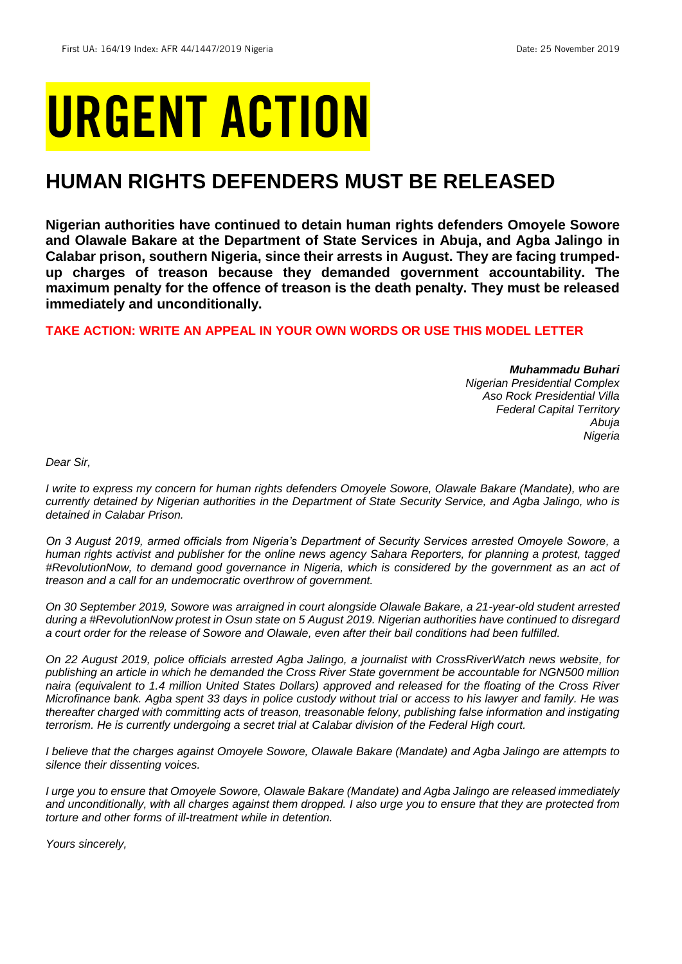# URGENT ACTION

## **HUMAN RIGHTS DEFENDERS MUST BE RELEASED**

**Nigerian authorities have continued to detain human rights defenders Omoyele Sowore and Olawale Bakare at the Department of State Services in Abuja, and Agba Jalingo in Calabar prison, southern Nigeria, since their arrests in August. They are facing trumpedup charges of treason because they demanded government accountability. The maximum penalty for the offence of treason is the death penalty. They must be released immediately and unconditionally.**

## **TAKE ACTION: WRITE AN APPEAL IN YOUR OWN WORDS OR USE THIS MODEL LETTER**

*Muhammadu Buhari*

*Nigerian Presidential Complex Aso Rock Presidential Villa Federal Capital Territory Abuja Nigeria*

*Dear Sir,*

*I write to express my concern for human rights defenders Omoyele Sowore, Olawale Bakare (Mandate), who are currently detained by Nigerian authorities in the Department of State Security Service, and Agba Jalingo, who is detained in Calabar Prison.*

*On 3 August 2019, armed officials from Nigeria's Department of Security Services arrested Omoyele Sowore, a human rights activist and publisher for the online news agency Sahara Reporters, for planning a protest, tagged #RevolutionNow, to demand good governance in Nigeria, which is considered by the government as an act of treason and a call for an undemocratic overthrow of government.*

*On 30 September 2019, Sowore was arraigned in court alongside Olawale Bakare, a 21-year-old student arrested during a #RevolutionNow protest in Osun state on 5 August 2019. Nigerian authorities have continued to disregard a court order for the release of Sowore and Olawale, even after their bail conditions had been fulfilled.*

*On 22 August 2019, police officials arrested Agba Jalingo, a journalist with CrossRiverWatch news website, for publishing an article in which he demanded the Cross River State government be accountable for NGN500 million naira (equivalent to 1.4 million United States Dollars) approved and released for the floating of the Cross River Microfinance bank. Agba spent 33 days in police custody without trial or access to his lawyer and family. He was thereafter charged with committing acts of treason, treasonable felony, publishing false information and instigating terrorism. He is currently undergoing a secret trial at Calabar division of the Federal High court.* 

*I believe that the charges against Omoyele Sowore, Olawale Bakare (Mandate) and Agba Jalingo are attempts to silence their dissenting voices.*

*I urge you to ensure that Omoyele Sowore, Olawale Bakare (Mandate) and Agba Jalingo are released immediately and unconditionally, with all charges against them dropped. I also urge you to ensure that they are protected from torture and other forms of ill-treatment while in detention.* 

*Yours sincerely,*